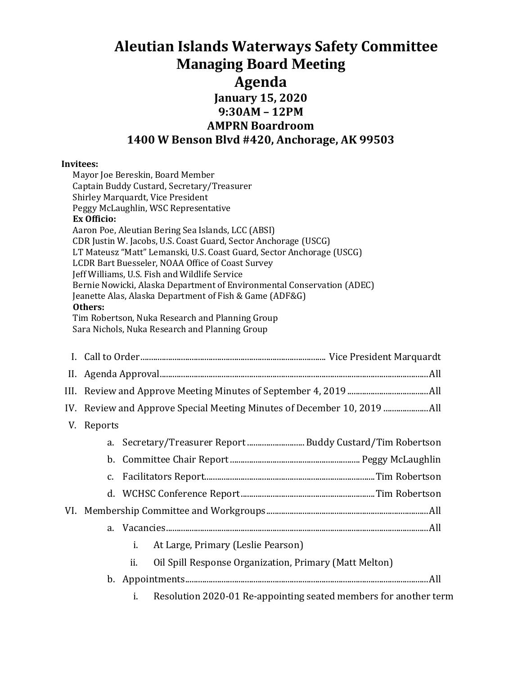# **Aleutian Islands Waterways Safety Committee Managing Board Meeting Agenda January 15, 2020 9:30AM – 12PM AMPRN Boardroom 1400 W Benson Blvd #420, Anchorage, AK 99503**

#### **Invitees:**

| Mayor Joe Bereskin, Board Member                                       |  |  |
|------------------------------------------------------------------------|--|--|
| Captain Buddy Custard, Secretary/Treasurer                             |  |  |
| Shirley Marquardt, Vice President                                      |  |  |
| Peggy McLaughlin, WSC Representative                                   |  |  |
| <b>Ex Officio:</b>                                                     |  |  |
| Aaron Poe, Aleutian Bering Sea Islands, LCC (ABSI)                     |  |  |
| CDR Justin W. Jacobs, U.S. Coast Guard, Sector Anchorage (USCG)        |  |  |
| LT Mateusz "Matt" Lemanski, U.S. Coast Guard, Sector Anchorage (USCG)  |  |  |
| LCDR Bart Buesseler, NOAA Office of Coast Survey                       |  |  |
| Jeff Williams, U.S. Fish and Wildlife Service                          |  |  |
| Bernie Nowicki, Alaska Department of Environmental Conservation (ADEC) |  |  |
| Jeanette Alas, Alaska Department of Fish & Game (ADF&G)                |  |  |
| Others:                                                                |  |  |
| Tim Robertson, Nuka Research and Planning Group                        |  |  |
| Sara Nichols, Nuka Research and Planning Group                         |  |  |

|  | V. Reports |                                                                        |  |
|--|------------|------------------------------------------------------------------------|--|
|  |            |                                                                        |  |
|  |            |                                                                        |  |
|  |            |                                                                        |  |
|  |            |                                                                        |  |
|  |            |                                                                        |  |
|  |            |                                                                        |  |
|  |            | i.<br>At Large, Primary (Leslie Pearson)                               |  |
|  |            | Oil Spill Response Organization, Primary (Matt Melton)<br>ii.          |  |
|  |            |                                                                        |  |
|  |            | i.<br>Resolution 2020-01 Re-appointing seated members for another term |  |